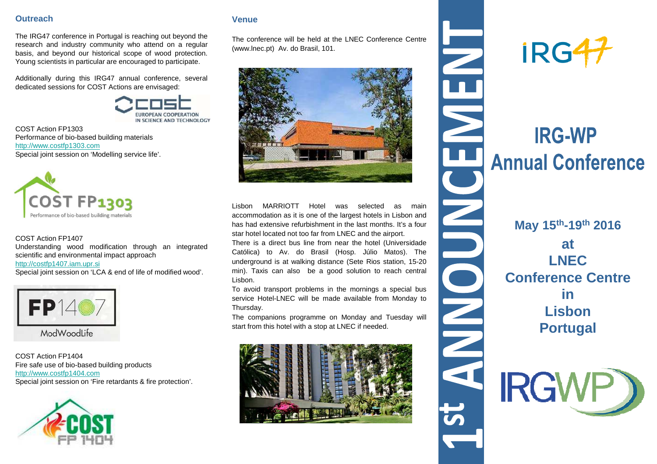## **Outreach**

The IRG47 conference in Portugal is reaching out beyond the research and industry community who attend on <sup>a</sup> regular basis, and beyond our historical scope of wood protection. Young scientists in particular are encouraged to participate.

Additionally during this IRG47 annual conference, several dedicated sessions for COST Actions are envisaged:

IN SCIENCE AND TECHNOLOGY

COST Action FP1303 Performance of bio-based building materialshttp://www.costfp1303.comSpecial joint session on 'Modelling service life'.



#### COST Action FP1407

 Understanding wood modification through an integratedscientific and environmental impact approach

#### http://costfp1407.iam.upr.si

Special joint session on 'LCA & end of life of modified wood'.



COST Action FP1404 Fire safe use of bio-based building productshttp://www.costfp1404.comSpecial joint session on 'Fire retardants & fire protection'.



## **Venue**

The conference will be held at the LNEC Conference Centre(www.lnec.pt) Av. do Brasil, 101.



Lisbon MARRIOTT Hotel was selected as main accommodation as it is one of the largest hotels in Lisbon and has had extensive refurbishment in the last months. It's <sup>a</sup> fourstar hotel located not too far from LNEC and the airport.

There is <sup>a</sup> direct bus line from near the hotel (Universidade Católica) to Av. do Brasil (Hosp. Júlio Matos). The underground is at walking distance (Sete Rios station, 15-20 min). Taxis can also be <sup>a</sup> good solution to reach central Lisbon.

To avoid transport problems in the mornings <sup>a</sup> special bus service Hotel-LNEC will be made available from Monday toThursday.

The companions programme on Monday and Tuesday will start from this hotel with <sup>a</sup> stop at LNEC if needed.